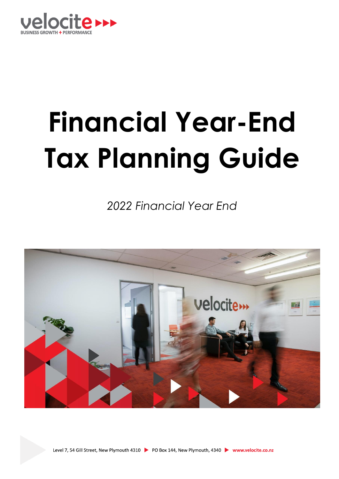

# **Financial Year-End Tax Planning Guide**

*2022 Financial Year End* 

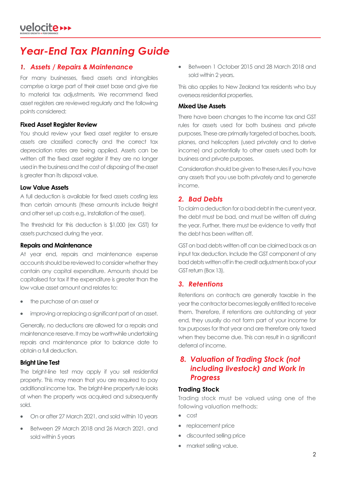# *Year-End Tax Planning Guide*

## *1. Assets / Repairs & Maintenance*

For many businesses, fixed assets and intangibles comprise a large part of their asset base and give rise to material tax adjustments. We recommend fixed asset registers are reviewed regularly and the following points considered:

#### **Fixed Asset Register Review**

You should review your fixed asset register to ensure assets are classified correctly and the correct tax depreciation rates are being applied. Assets can be written off the fixed asset register if they are no longer used in the business and the cost of disposing of the asset is greater than its disposal value.

#### **Low Value Assets**

A full deduction is available for fixed assets costing less than certain amounts (these amounts include freight and other set up costs e.g., Installation of the asset).

The threshold for this deduction is \$1,000 (ex GST) for assets purchased during the year.

#### **Repairs and Maintenance**

At year end, repairs and maintenance expense accounts should be reviewed to consider whether they contain any capital expenditure. Amounts should be capitalised for tax if the expenditure is greater than the low value asset amount and relates to:

- the purchase of an asset or
- improving or replacing a significant part of an asset.

Generally, no deductions are allowed for a repairs and maintenance reserve. It may be worthwhile undertaking repairs and maintenance prior to balance date to obtain a full deduction.

#### **Bright Line Test**

The bright-line test may apply if you sell residential property. This may mean that you are required to pay additional income tax. The bright-line property rule looks at when the property was acquired and subsequently sold.

- On or after 27 March 2021, and sold within 10 years
- Between 29 March 2018 and 26 March 2021, and sold within 5 years

• Between 1 October 2015 and 28 March 2018 and sold within 2 years.

This also applies to New Zealand tax residents who buy overseas residential properties.

#### **Mixed Use Assets**

There have been changes to the income tax and GST rules for assets used for both business and private purposes. These are primarily targeted at baches, boats, planes, and helicopters (used privately and to derive income) and potentially to other assets used both for business and private purposes.

Consideration should be given to these rules if you have any assets that you use both privately and to generate income.

# *2. Bad Debts*

To claim a deduction for a bad debt in the current year, the debt must be bad, and must be written off during the year. Further, there must be evidence to verify that the debt has been written off.

GST on bad debts written off can be claimed back as an input tax deduction. Include the GST component of any bad debts written off in the credit adjustments box of your GST return (Box 13).

# *3. Retentions*

Retentions on contracts are generally taxable in the year the contractor becomes legally entitled to receive them. Therefore, if retentions are outstanding at year end, they usually do not form part of your income for tax purposes for that year and are therefore only taxed when they become due. This can result in a significant deferral of income.

# *8. Valuation of Trading Stock (not including livestock) and Work In Progress*

#### **Trading Stock**

Trading stock must be valued using one of the following valuation methods:

- cost
- replacement price
- discounted selling price
- market selling value.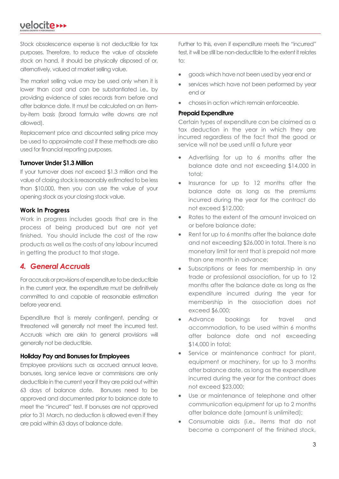# velocite >>>

Stock obsolescence expense is not deductible for tax purposes. Therefore, to reduce the value of obsolete stock on hand, it should be physically disposed of or, alternatively, valued at market selling value.

The market selling value may be used only when it is lower than cost and can be substantiated i.e., by providing evidence of sales records from before and after balance date. It must be calculated on an itemby-item basis (broad formula write downs are not allowed).

Replacement price and discounted selling price may be used to approximate cost if these methods are also used for financial reporting purposes.

#### **Turnover Under \$1.3 Million**

If your turnover does not exceed \$1.3 million and the value of closing stock is reasonably estimated to be less than \$10,000, then you can use the value of your opening stock as your closing stock value.

#### **Work In Progress**

Work in progress includes goods that are in the process of being produced but are not yet finished. You should include the cost of the raw products as well as the costs of any labour incurred in getting the product to that stage.

## *4. General Accruals*

For accruals or provisions of expenditure to be deductible in the current year, the expenditure must be definitively committed to and capable of reasonable estimation before year end.

Expenditure that is merely contingent, pending or threatened will generally not meet the incurred test. Accruals which are akin to general provisions will generally not be deductible.

#### **Holiday Pay and Bonuses for Employees**

Employee provisions such as accrued annual leave, bonuses, long service leave or commissions are only deductible in the current year if they are paid out within 63 days of balance date. Bonuses need to be approved and documented prior to balance date to meet the "incurred" test. If bonuses are not approved prior to 31 March, no deduction is allowed even if they are paid within 63 days of balance date.

Further to this, even if expenditure meets the "incurred" test, it will be still be non-deductible to the extent it relates  $t^{\circ}$ 

- goods which have not been used by year end or
- services which have not been performed by year end or
- choses in action which remain enforceable.

#### **Prepaid Expenditure**

Certain types of expenditure can be claimed as a tax deduction in the year in which they are incurred regardless of the fact that the good or service will not be used until a future year

- Advertising for up to 6 months after the balance date and not exceeding \$14,000 in total;
- Insurance for up to 12 months after the balance date as long as the premiums incurred during the year for the contract do not exceed \$12,000;
- Rates to the extent of the amount invoiced on or before balance date;
- Rent for up to 6 months after the balance date and not exceeding \$26,000 in total. There is no monetary limit for rent that is prepaid not more than one month in advance;
- Subscriptions or fees for membership in any trade or professional association, for up to 12 months after the balance date as long as the expenditure incurred during the year for membership in the association does not exceed \$6,000;
- Advance bookings for travel and accommodation, to be used within 6 months after balance date and not exceeding \$14,000 in total;
- Service or maintenance contract for plant, equipment or machinery, for up to 3 months after balance date, as long as the expenditure incurred during the year for the contract does not exceed \$23,000;
- Use or maintenance of telephone and other communication equipment for up to 2 months after balance date (amount is unlimited);
- Consumable aids (i.e., items that do not become a component of the finished stock,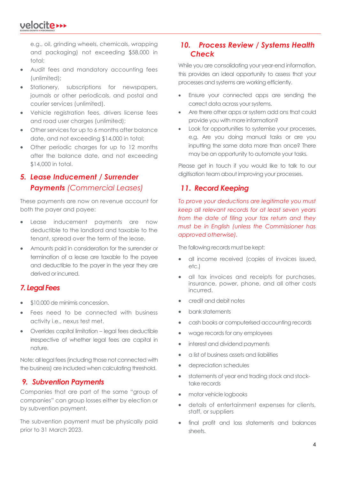# velocite **>>>**

e.g., oil, grinding wheels, chemicals, wrapping and packaging) not exceeding \$58,000 in total;

- Audit fees and mandatory accounting fees (unlimited);
- Stationery, subscriptions for newspapers, journals or other periodicals, and postal and courier services (unlimited).
- Vehicle registration fees, drivers license fees and road user charges (unlimited);
- Other services for up to 6 months after balance date, and not exceeding \$14,000 in total;
- Other periodic charges for up to 12 months after the balance date, and not exceeding \$14,000 in total.

# *5. Lease Inducement / Surrender Payments (Commercial Leases)*

These payments are now on revenue account for both the payer and payee:

- Lease inducement payments are now deductible to the landlord and taxable to the tenant, spread over the term of the lease.
- Amounts paid in consideration for the surrender or termination of a lease are taxable to the payee and deductible to the payer in the year they are derived or incurred.

# *7. Legal Fees*

- \$10,000 de minimis concession.
- Fees need to be connected with business activity i.e., nexus test met.
- Overrides capital limitation legal fees deductible irrespective of whether legal fees are capital in nature.

Note: all legal fees (including those not connected with the business) are included when calculating threshold.

## *9. Subvention Payments*

Companies that are part of the same "group of companies" can group losses either by election or by subvention payment.

The subvention payment must be physically paid prior to 31 March 2023.

# *10. Process Review / Systems Health Check*

While you are consolidating your year-end information, this provides an ideal opportunity to assess that your processes and systems are working efficiently.

- Ensure your connected apps are sending the correct data across your systems.
- Are there other apps or system add ons that could provide you with more information?
- Look for opportunities to systemise your processes, e.g. Are you doing manual tasks or are you inputting the same data more than once? There may be an opportunity to automate your tasks.

Please get in touch if you would like to talk to our digitisation team about improving your processes.

# *11. Record Keeping*

*To prove your deductions are legitimate you must keep all relevant records for at least seven years from the date of filing your tax return and they must be in English (unless the Commissioner has approved otherwise).*

The following records must be kept:

- all income received (copies of invoices issued, etc.)
- all tax invoices and receipts for purchases, insurance, power, phone, and all other costs incurred.
- credit and debit notes
- bank statements
- cash books or computerised accounting records
- wage records for any employees
- interest and dividend payments
- a list of business assets and liabilities
- depreciation schedules
- statements of year end trading stock and stocktake records
- motor vehicle logbooks
- details of entertainment expenses for clients, staff, or suppliers
- final profit and loss statements and balances sheets.